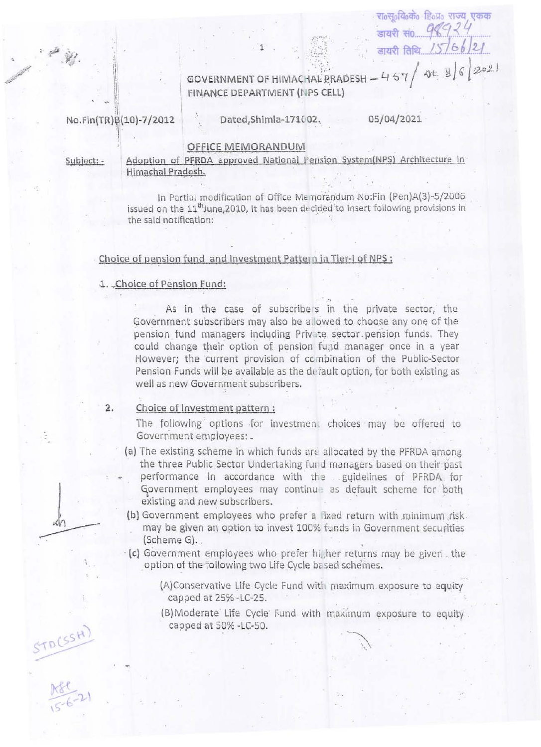$86202$ GOVERNMENT OF HIMACHAL PRADESH - 457 FINANCE DEPARTMENT (NPS CELL)

No.Fin(TR)B(10)-7/2012

Dated, Shimla-171002,

05/04/2021

डायरी सं0..

डायरी तिथि

रा॰स॰वि॰क॰ हि॰प॰ राज्य एकक

## OFFICE MEMORANDUM

Subject: -

do

STACSH)

Adoption of PFRDA approved National Pension System(NPS) Architecture in Himachal Pradesh.

In Partial modification of Office Memorandum No:Fin (Pen)A(3)-5/2006 issued on the 11<sup>th</sup>June, 2010, It has been decided to insert following provisions in the said notification:

## Choice of pension fund and Investment Pattern in Tier-I of NPS :

## 1. Choice of Pension Fund:

As in the case of subscribers in the private sector, the Government subscribers may also be allowed to choose any one of the pension fund managers including Private sector pension funds. They could change their option of pension fund manager once in a year However; the current provision of combination of the Public-Sector Pension Funds will be available as the default option, for both existing as well as new Government subscribers.

Choice of Investment pattern:  $2.$ 

> The following options for investment choices may be offered to Government employees: \_

- (a) The existing scheme in which funds are allocated by the PFRDA among the three Public Sector Undertaking fund managers based on their past performance in accordance with the guidelines of PFRDA for Government employees may continue as default scheme for both existing and new subscribers.
- (b) Government employees who prefer a fixed return with minimum risk. may be given an option to invest 100% funds in Government securities (Scheme G).
- (c) Government employees who prefer higher returns may be given the option of the following two Life Cycle based schemes.
	- (A)Conservative Life Cycle Fund with maximum exposure to equity capped at 25% -LC-25.
	- (B) Moderate Life Cycle Fund with maximum exposure to equity. capped at 50% -LC-50.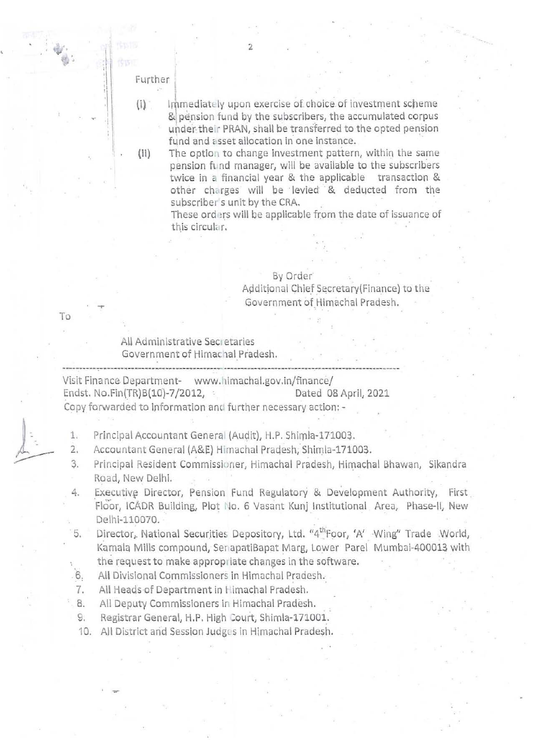Further

 $(i)$ 

 $(ii)$ 

Immediately upon exercise of choice of investment scheme & pension fund by the subscribers, the accumulated corpus under their PRAN, shall be transferred to the opted pension fund and asset allocation in one instance.

The option to change investment pattern, within the same pension fund manager, will be available to the subscribers twice in a financial year & the applicable transaction & other charges will be levied & deducted from the subscriber's unit by the CRA.

These orders will be applicable from the date of issuance of this circular.

## By Order

Additional Chief Secretary (Finance) to the Government of Himachal Pradesh.

To

All Administrative Secretaries Government of Himachal Pradesh.

Visit Finance Department- www.himachal.gov.in/finance/ Endst. No.Fin(TR)B(10)-7/2012, Dated 08 April, 2021 Copy forwarded to information and further necessary action: -

Principal Accountant General (Audit), H.P. Shimla-171003. 1.

Accountant General (A&E) Himachal Pradesh, Shimla-171003.  $2.$ 

- Principal Resident Commissioner, Himachal Pradesh, Himachal Bhawan, Sikandra 3. Road, New Delhi.
- Executive Director, Pension Fund Regulatory & Development Authority, First 4. Floor, ICADR Building, Plot No. 6 Vasant Kunj Institutional Area, Phase-II, New Delhi-110070.

Director, National Securities Depository, Ltd. "4<sup>th</sup>Foor, 'A' Wing" Trade World, 5. Kamala Mills compound, SenapatiBapat Marg, Lower Parel Mumbai-400013 with the request to make appropriate changes in the software.

6. All Divisional Commissioners in Himachal Pradesh.

All Heads of Department in Himachal Pradesh. 7.

 $8.5$ All Deputy Commissioners in Himachal Pradesh.

9. Registrar General, H.P. High Court, Shimla-171001.

10. All District and Session Judges in Himachal Pradesh.